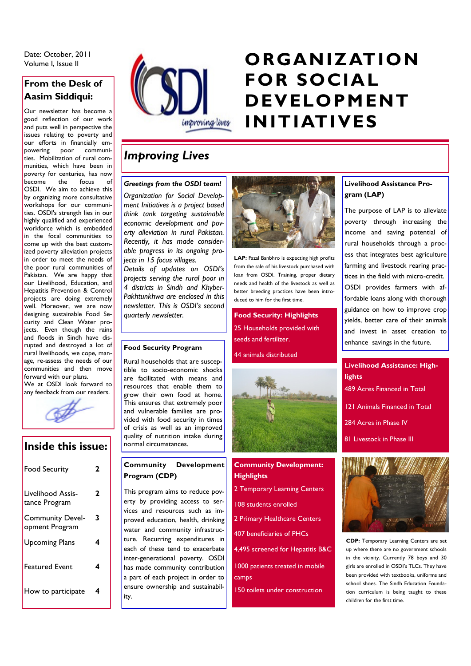Date: October, 2011

# **From the Desk of Aasim Siddiqui:**

Our newsletter has become a good reflection of our work and puts well in perspective the issues relating to poverty and our efforts in financially empowering poor communities. Mobilization of rural communities, which have been in poverty for centuries, has now become the focus of OSDI. We aim to achieve this by organizing more consultative workshops for our communities. OSDI's strength lies in our highly qualified and experienced workforce which is embedded in the focal communities to come up with the best customized poverty alleviation projects in order to meet the needs of the poor rural communities of Pakistan. We are happy that our Livelihood, Education, and Hepatitis Prevention & Control projects are doing extremely .<br>well. Moreover, we are now designing sustainable Food Security and Clean Water projects. Even though the rains and floods in Sindh have disrupted and destroyed a lot of rural livelihoods, we cope, manage, re-assess the needs of our communities and then move forward with our plans.

We at OSDI look forward to any feedback from our readers.



## **Inside this issue:**

| <b>Food Security</b>                      | 2 |
|-------------------------------------------|---|
| Livelihood Assis-<br>tance Program        | 2 |
| <b>Community Devel-</b><br>opment Program | 3 |
| <b>Upcoming Plans</b>                     | 4 |
| <b>Featured Event</b>                     | 4 |
| How to participate                        | 4 |



# Date: October, 2011<br>Volume I, Issue II **Canadian Canadian II Concert Canadian Canadian Canadian Canadian Canadian Canadian Canadian FOR SOCIAL DEVELOPMENT INITIATIVES**

# *Improving Lives*

#### *Greetings from the OSDI team!*

*Organization for Social Development Initiatives is a project based think tank targeting sustainable economic development and poverty alleviation in rural Pakistan. Recently, it has made considerable progress in its ongoing projects in 15 focus villages.*

*Details of updates on OSDI's projects serving the rural poor in 4 districts in Sindh and Khyber-Pakhtunkhwa are enclosed in this newsletter. This is OSDI's second quarterly newsletter.*

## **Food Security Program**

Rural households that are susceptible to socio-economic shocks are facilitated with means and resources that enable them to grow their own food at home. This ensures that extremely poor and vulnerable families are provided with food security in times of crisis as well as an improved quality of nutrition intake during normal circumstances.

### **Community Development Program (CDP)**

This program aims to reduce poverty by providing access to services and resources such as improved education, health, drinking water and community infrastructure. Recurring expenditures in each of these tend to exacerbate inter-generational poverty. OSDI has made community contribution a part of each project in order to ensure ownership and sustainability.



**LAP:** Fazal Banbhro is expecting high profits from the sale of his livestock purchased with loan from OSDI. Training, proper dietary needs and health of the livestock as well as better breeding practices have been introduced to him for the first time.

**Food Security: Highlights** 25 Households provided with seeds and fertilizer.

44 animals distributed



# **Community Development: Highlights**

- 2 Temporary Learning Centers
- 108 students enrolled
- 2 Primary Healthcare Centers
- 407 beneficiaries of PHCs

4,495 screened for Hepatitis B&C

1000 patients treated in mobile camps

150 toilets under construction

### **Livelihood Assistance Program (LAP)**

The purpose of LAP is to alleviate poverty through increasing the income and saving potential of rural households through a process that integrates best agriculture farming and livestock rearing practices in the field with micro-credit. OSDI provides farmers with affordable loans along with thorough guidance on how to improve crop yields, better care of their animals and invest in asset creation to enhance savings in the future.

# **Livelihood Assistance: Highlights** 489 Acres Financed in Total 121 Animals Financed in Total 284 Acres in Phase IV 81 Livestock in Phase III



**CDP:** Temporary Learning Centers are set up where there are no government schools in the vicinity. Currently 78 boys and 30 girls are enrolled in OSDI's TLCs. They have been provided with textbooks, uniforms and school shoes. The Sindh Education Foundation curriculum is being taught to these children for the first time.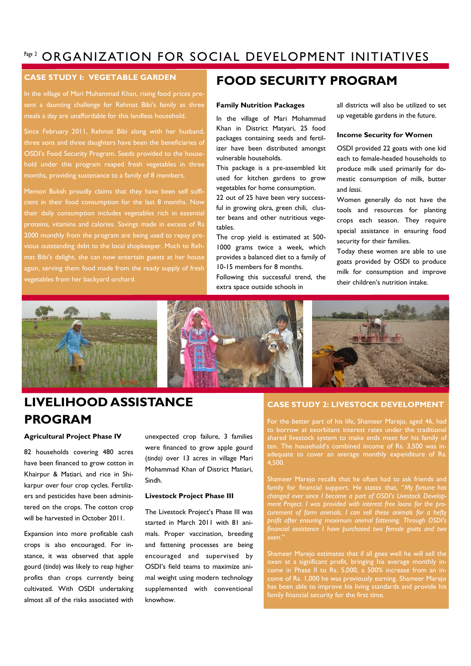# Page 2 ORGANIZATION FOR SOCIAL DEVELOPMENT INITIATIVES

### **CASE STUDY I: VEGETABLE GARDEN**

In the village of Mari Muhammad Khan, rising food prices present a daunting challenge for Rehmat Bibi's family as three

Since February 2011, Rehmat Bibi along with her husband, three sons and three daughters have been the beneficiaries of OSDI's Food Security Program. Seeds provided to the household under this program reaped fresh vegetables in three months, providing sustenance to a family of 8 members.

Memon Buksh proudly claims that they have been self sufficient in their food consumption for the last 8 months. Now their daily consumption includes vegetables rich in essential proteins, vitamins and calories. Savings made in excess of Rs 2000 monthly from the program are being used to repay previous outstanding debt to the local shopkeeper. Much to Rehmat Bibi's delight, she can now entertain guests at her house again, serving them food made from the ready supply of fresh vegetables from her backyard orchard.

# **FOOD SECURITY PROGRAM**

#### **Family Nutrition Packages**

In the village of Mari Mohammad Khan in District Matyari, 25 food packages containing seeds and fertilizer have been distributed amongst vulnerable households.

This package is a pre-assembled kit used for kitchen gardens to grow vegetables for home consumption.

22 out of 25 have been very successful in growing okra, green chili, cluster beans and other nutritious vegetables.

The crop yield is estimated at 500- 1000 grams twice a week, which provides a balanced diet to a family of 10-15 members for 8 months. Following this successful trend, the

extra space outside schools in

all districts will also be utilized to set up vegetable gardens in the future.

#### **Income Security for Women**

OSDI provided 22 goats with one kid each to female-headed households to produce milk used primarily for domestic consumption of milk, butter and *lassi*.

Women generally do not have the tools and resources for planting crops each season. They require special assistance in ensuring food security for their families.

Today these women are able to use goats provided by OSDI to produce milk for consumption and improve their children's nutrition intake.



# **LIVELIHOOD ASSISTANCE PROGRAM**

#### **Agricultural Project Phase IV**

82 households covering 480 acres have been financed to grow cotton in Khairpur & Matiari, and rice in Shikarpur over four crop cycles. Fertilizers and pesticides have been administered on the crops. The cotton crop will be harvested in October 2011.

Expansion into more profitable cash crops is also encouraged. For instance, it was observed that apple gourd (*tinda*) was likely to reap higher profits than crops currently being cultivated. With OSDI undertaking almost all of the risks associated with

unexpected crop failure, 3 families were financed to grow apple gourd (*tinda)* over 13 acres in village Mari Mohammad Khan of District Matiari, Sindh.

#### **Livestock Project Phase III**

The Livestock Project's Phase III was started in March 2011 with 81 animals. Proper vaccination, breeding and fattening processes are being encouraged and supervised by OSDI's field teams to maximize animal weight using modern technology supplemented with conventional knowhow.

#### **CASE STUDY 2: LIVESTOCK DEVELOPMENT**

For the better part of his life, Shameer Marejo, aged 46, had shared livestock system to make ends meet for his family of ten. The household's combined income of Rs. 3,500 was inadequate to cover an average monthly expenditure of Rs. 4,500.

Shameer Marejo recalls that he often had to ask friends and family for financial support. He states that, "*My fortune has changed ever since I became a part of OSDI's Livestock Developcurement of farm animals. I can sell these animals for a hefty profit after ensuring maximum animal fattening. Through OSDI's financial assistance I have purchased two female goats and two* 

Shameer Marejo estimates that if all goes well he will sell the oxen at a significant profit, bringing his average monthly income in Phase II to Rs. 5,000, a 500% increase from an income of Rs. 1,000 he was previously earning. Shameer Marejo has been able to improve his living standards and provide his family financial security for the first time.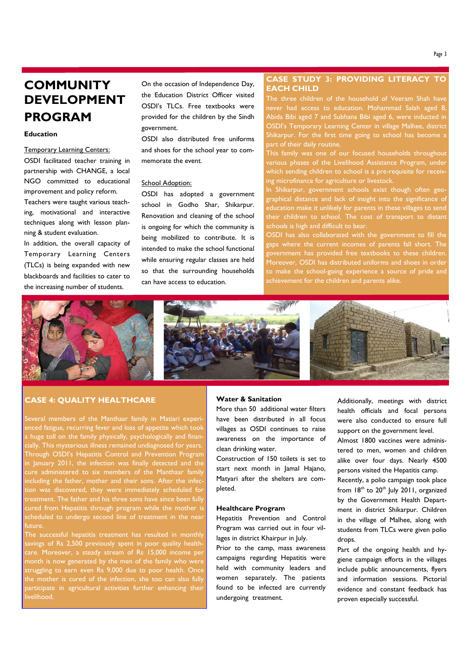#### **Education**

#### Temporary Learning Centers:

OSDI facilitated teacher training in partnership with CHANGE, a local NGO committed to educational improvement and policy reform. Teachers were taught various teaching, motivational and interactive techniques along with lesson planning & student evaluation.

In addition, the overall capacity of Temporary Learning Centers (TLCs) is being expanded with new blackboards and facilities to cater to the increasing number of students.

On the occasion of Independence Day, the Education District Officer visited OSDI's TLCs. Free textbooks were provided for the children by the Sindh government.

OSDI also distributed free uniforms and shoes for the school year to commemorate the event.

#### School Adoption:

OSDI has adopted a government school in Godho Shar, Shikarpur. Renovation and cleaning of the school is ongoing for which the community is being mobilized to contribute. It is intended to make the school functional while ensuring regular classes are held so that the surrounding households can have access to education.

#### **CASE STUDY 3: PROVIDING LITERACY TO EACH CHILD**

never had access to education. Mohammad Salah aged 8, Abida Bibi aged 7 and Subhana Bibi aged 6, were inducted in OSDI's Temporary Learning Center in village Malhee, district Shikarpur. For the first time going to school has become a part of their daily routine.

This family was one of our focused households throughout various phases of the Livelihood Assistance Program, under which sending children to school is a pre-requisite for receiving microfinance for agriculture or livestock.

In Shikarpur, government schools exist though often geographical distance and lack of insight into the significance of education make it unlikely for parents in these villages to send their children to school. The cost of transport to distant schools is high and difficult to bear.

OSDI has also collaborated with the government to fill the gaps where the current incomes of parents fall short. The government has provided free textbooks to these children. Moreover, OSDI has distributed uniforms and shoes in order to make the school-going experience a source of pride and achievement for the children and parents alike.



#### **CASE 4: QUALITY HEALTHCARE**

including the father, mother and their sons. After the infec-Several members of the Manthaar family in Matiari experienced fatigue, recurring fever and loss of appetite which took a huge toll on the family physically, psychologically and financially. This mysterious illness remained undiagnosed for years. Through OSDI's Hepatitis Control and Prevention Program in January 2011, the infection was finally detected and the cured from Hepatitis through program while the mother is scheduled to undergo second line of treatment in the near future.

The successful hepatitis treatment has resulted in monthly savings of Rs 2,500 previously spent in poor quality healthcare. Moreover, a steady stream of Rs 15,000 income per month is now generated by the men of the family who were struggling to earn even Rs 9,000 due to poor health. Once the mother is cured of the infection, she too can also fully participate in agricultural activities further enhancing their livelihood.

#### **Water & Sanitation**

More than 50 additional water filters have been distributed in all focus villages as OSDI continues to raise awareness on the importance of clean drinking water.

Construction of 150 toilets is set to start next month in Jamal Hajano, Matyari after the shelters are completed.

#### **Healthcare Program**

Hepatitis Prevention and Control Program was carried out in four villages in district Khairpur in July.

Prior to the camp, mass awareness campaigns regarding Hepatitis were held with community leaders and women separately. The patients found to be infected are currently undergoing treatment.

Additionally, meetings with district health officials and focal persons were also conducted to ensure full support on the government level.

Almost 1800 vaccines were administered to men, women and children alike over four days. Nearly 4500 persons visited the Hepatitis camp.

Recently, a polio campaign took place from  $18<sup>th</sup>$  to  $20<sup>th</sup>$  July 2011, organized by the Government Health Department in district Shikarpur. Children in the village of Malhee, along with students from TLCs were given polio drops.

Part of the ongoing health and hygiene campaign efforts in the villages include public announcements, flyers and information sessions. Pictorial evidence and constant feedback has proven especially successful.